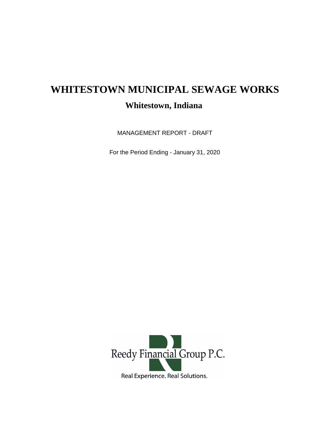## **WHITESTOWN MUNICIPAL SEWAGE WORKS Whitestown, Indiana**

MANAGEMENT REPORT - DRAFT

For the Period Ending - January 31, 2020

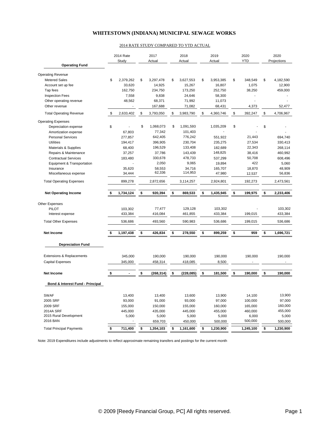## **WHITESTOWN (INDIANA) MUNICIPAL SEWAGE WORKS**

## 2014 RATE STUDY COMPARED TO YTD ACTUAL

| <b>Operating Fund</b>            | 2014 Rate<br>Study |                    | 2017<br>Actual |                   | 2018<br>Actual |                    | 2019<br>Actual |                    | 2020<br><b>YTD</b> |           | 2020<br>Projections |                    |
|----------------------------------|--------------------|--------------------|----------------|-------------------|----------------|--------------------|----------------|--------------------|--------------------|-----------|---------------------|--------------------|
|                                  |                    |                    |                |                   |                |                    |                |                    |                    |           |                     |                    |
| <b>Operating Revenue</b>         |                    |                    |                |                   |                |                    |                |                    |                    |           |                     |                    |
| <b>Metered Sales</b>             | \$                 | 2,379,262          | \$             | 3,297,478         | \$             | 3,627,553          | \$             | 3,953,385          | \$                 | 348,549   | \$                  | 4,182,590          |
| Account set up fee               |                    | 33,620             |                | 14,925            |                | 15,267             |                | 16,807             |                    | 1,075     |                     | 12,900             |
| Tap fees                         |                    | 162,750            |                | 234,750           |                | 173,250            |                | 252,750            |                    | 38,250    |                     | 459,000            |
| <b>Inspection Fees</b>           |                    | 7,558              |                | 9,838             |                | 24,646             |                | 58,300             |                    |           |                     |                    |
| Other operating revenue          |                    | 48,562             |                | 68,371            |                | 71,992             |                | 11,073             |                    |           |                     |                    |
| Other revenue                    |                    |                    |                | 167,688           |                | 71,082             |                | 68,431             |                    | 4,373     |                     | 52,477             |
| <b>Total Operating Revenue</b>   | \$                 | 2,633,402          | \$             | 3,793,050         | \$             | 3,983,790          | \$             | 4,360,746          | \$                 | 392,247   | \$                  | 4,706,967          |
| <b>Operating Expenses</b>        |                    |                    |                |                   |                |                    |                |                    |                    |           |                     |                    |
| Depreciation expense             | \$                 |                    | \$             | 1,068,073         | \$             | 1,091,593          |                | 1,035,209          | \$                 |           | \$                  |                    |
| Amortization expense             |                    | 67,803             |                | 77,342            |                | 101,403            |                |                    |                    |           |                     |                    |
| <b>Personal Services</b>         |                    | 277,857            |                | 642,405           |                | 776,242            |                | 551,922            |                    | 21,443    |                     | 694.740            |
| <b>Utilities</b>                 |                    | 194,417            |                | 396,905           |                | 230,704            |                | 235,275            |                    | 27,534    |                     | 330,413            |
| Materials & Supplies             |                    | 68,400             |                | 196,529           |                | 133,408            |                | 182,689            |                    | 22,343    |                     | 268,114            |
| Repairs & Maintenance            |                    | 37,257             |                | 37,786            |                | 143,439            |                | 148,825            |                    | 38,416    |                     | 460,992            |
| <b>Contractual Services</b>      |                    | 183,480            |                | 330,678           |                | 478,733            |                | 537,299            |                    | 50,708    |                     | 608,496            |
| Equipment & Transportation       |                    |                    |                | 2,050             |                | 9,065              |                | 19,894             |                    | 422       |                     | 5,060              |
| Insurance                        |                    | 35,620             |                | 58,553            |                | 34,716             |                | 165,707            |                    | 18,870    |                     | 48,909             |
| Miscellaneous expense            |                    | 34,444             |                | 62,336            |                | 114,953            |                | 47,980             |                    | 12,537    |                     | 56,836             |
| <b>Total Operating Expenses</b>  |                    | 899,278            |                | 2,872,656         |                | 3,114,257          |                | 2,924,801          |                    | 192,273   |                     | 2,473,561          |
| <b>Net Operating Income</b>      | \$                 | 1,734,124          | \$             | 920,394           | \$             | 869,533            | \$             | 1,435,945          | \$                 | 199,975   | \$                  | 2,233,406          |
|                                  |                    |                    |                |                   |                |                    |                |                    |                    |           |                     |                    |
| Other Expenses                   |                    |                    |                |                   |                |                    |                |                    |                    |           |                     |                    |
| PILOT<br>Interest expense        |                    | 103,302<br>433,384 |                | 77,477<br>416,084 |                | 129.128<br>461,855 |                | 103,302<br>433,384 |                    | 199,015   |                     | 103.302<br>433,384 |
|                                  |                    |                    |                |                   |                |                    |                |                    |                    |           |                     |                    |
| <b>Total Other Expenses</b>      |                    | 536,686            |                | 493,560           |                | 590,983            |                | 536,686            |                    | 199,015   |                     | 536,686            |
| <b>Net Income</b>                | \$                 | 1,197,438          | \$             | 426,834           | \$             | 278,550            | \$             | 899,259            | \$                 | 959       | \$                  | 1,696,721          |
| <b>Depreciation Fund</b>         |                    |                    |                |                   |                |                    |                |                    |                    |           |                     |                    |
|                                  |                    |                    |                |                   |                |                    |                |                    |                    |           |                     |                    |
| Extensions & Replacements        |                    | 345,000            |                | 190,000           |                | 190,000            |                | 190,000            |                    | 190,000   |                     | 190,000            |
| <b>Capital Expenses</b>          |                    | 345,000            |                | 458,314           |                | 418,085            |                | 8,500              |                    |           |                     |                    |
|                                  |                    |                    |                |                   |                |                    |                |                    |                    |           |                     |                    |
| <b>Net Income</b>                | \$                 |                    | \$             | (268, 314)        | \$             | (228, 085)         | \$             | 181,500            | \$                 | 190,000   | \$                  | 190,000            |
| Bond & Interest Fund - Principal |                    |                    |                |                   |                |                    |                |                    |                    |           |                     |                    |
| <b>SWAF</b>                      |                    | 13,400             |                | 13.400            |                | 13,600             |                | 13,900             |                    | 14,100    |                     | 13,900             |
| 2005 SRF                         |                    | 93,000             |                | 91,000            |                | 93,000             |                | 97,000             |                    | 100,000   |                     | 97,000             |
| 2009 SRF                         |                    | 155,000            |                | 150,000           |                | 155,000            |                | 160,000            |                    | 165,000   |                     | 160,000            |
| 2014A SRF                        |                    | 445,000            |                | 435,000           |                | 445,000            |                | 455,000            |                    | 460,000   |                     | 455,000            |
| 2015 Rural Development           |                    | 5,000              |                | 5,000             |                | 5,000              |                | 5,000              |                    | 6,000     |                     | 5,000              |
| 2016 BAN                         |                    |                    |                | 659,703           |                | 450,000            |                | 500,000            |                    | 500,000   |                     | 500,000            |
| <b>Total Principal Payments</b>  | \$                 | 711,400            | \$             | 1,354,103         | \$             | 1,161,600          | \$             | 1,230,900          |                    | 1,245,100 | \$                  | 1,230,900          |

Note: 2019 Expenditures include adjustments to reflect approximate remaining transfers and postings for the current month